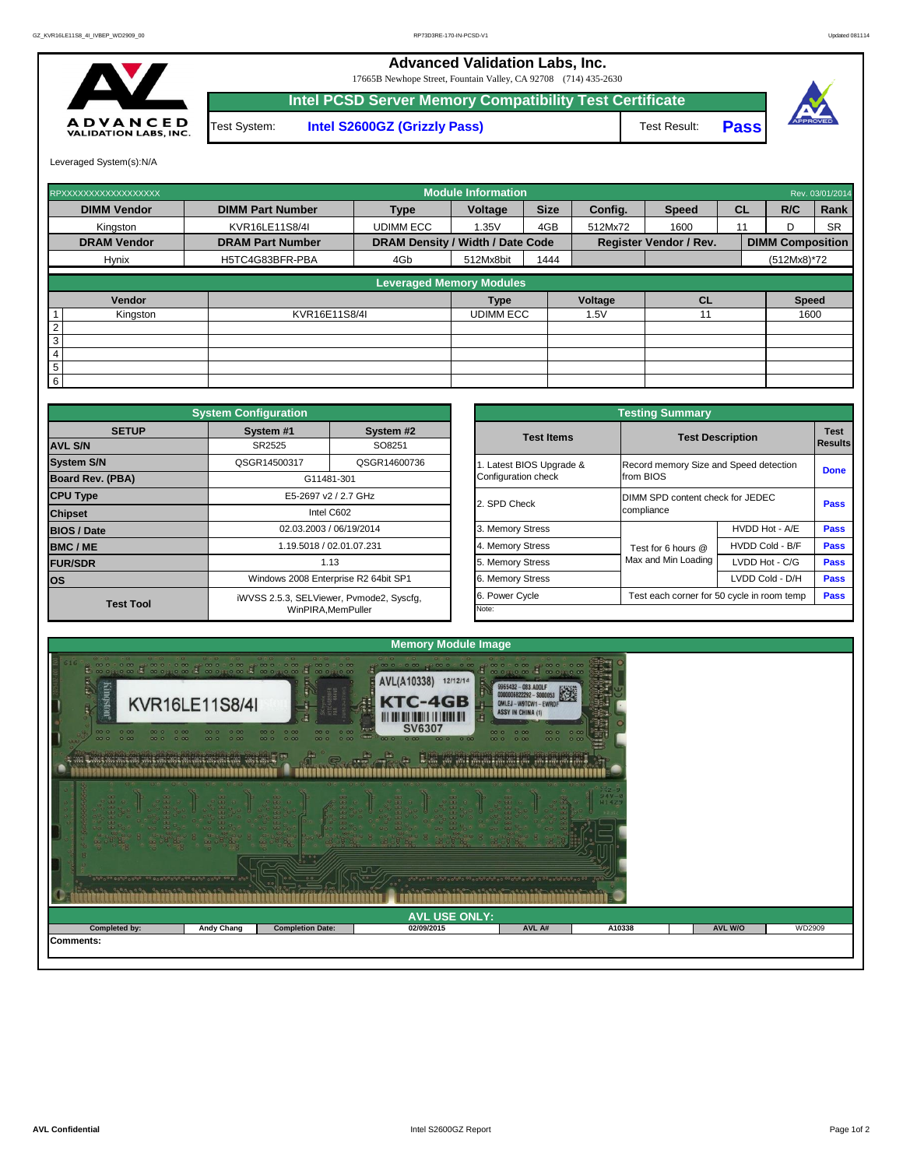

## **Advanced Validation Labs, Inc.**  17665B Newhope Street, Fountain Valley, CA 92708 (714) 435-2630 **Intel PCSD Server Memory Compatibility Test Certificate** A D V A N C E D<br>VALIDATION LABS, INC. Test System: **Intel S2600GZ (Grizzly Pass)** Test Result: **Pass**

Leveraged System(s):N/A

| RPXXXXXXXXXXXXXXXXXX |                         |                                         | <b>Module Information</b> |             |         |                               |           |                         | Rev. 03/01/2014 |
|----------------------|-------------------------|-----------------------------------------|---------------------------|-------------|---------|-------------------------------|-----------|-------------------------|-----------------|
| <b>DIMM Vendor</b>   | <b>DIMM Part Number</b> | <b>Type</b>                             | <b>Voltage</b>            | <b>Size</b> | Config. | <b>Speed</b>                  | <b>CL</b> | R/C                     | Rank            |
| Kingston             | KVR16LE11S8/4I          | <b>UDIMM ECC</b>                        | 1.35V                     | 4GB         | 512Mx72 | 1600                          | 11        | D.                      | <b>SR</b>       |
| <b>DRAM Vendor</b>   | <b>DRAM Part Number</b> | <b>DRAM Density / Width / Date Code</b> |                           |             |         | <b>Register Vendor / Rev.</b> |           | <b>DIMM Composition</b> |                 |
| <b>Hynix</b>         | H5TC4G83BFR-PBA         | 4Gb                                     | 512Mx8bit                 | 1444        |         |                               |           | $(512Mx8)*72$           |                 |
|                      |                         | <b>Leveraged Memory Modules</b>         |                           |             |         |                               |           |                         |                 |
|                      |                         |                                         |                           |             |         |                               |           |                         |                 |
| Vendor               |                         |                                         | <b>Type</b>               |             | Voltage | CL                            |           | <b>Speed</b>            |                 |
| Kingston             | KVR16E11S8/4I           |                                         | <b>UDIMM ECC</b>          |             | 1.5V    |                               |           | 1600                    |                 |
| 2                    |                         |                                         |                           |             |         |                               |           |                         |                 |
| 3                    |                         |                                         |                           |             |         |                               |           |                         |                 |
| 4                    |                         |                                         |                           |             |         |                               |           |                         |                 |
| $5\overline{)}$      |                         |                                         |                           |             |         |                               |           |                         |                 |
| 6                    |                         |                                         |                           |             |         |                               |           |                         |                 |

|                                                                | <b>Testing Summary</b>                              |                                  |             |  |  |  |  |  |  |
|----------------------------------------------------------------|-----------------------------------------------------|----------------------------------|-------------|--|--|--|--|--|--|
| <b>Test Items</b><br><b>Test Description</b><br><b>Results</b> |                                                     |                                  |             |  |  |  |  |  |  |
| 1. Latest BIOS Upgrade &<br>Configuration check                | Record memory Size and Speed detection<br>from BIOS |                                  | <b>Done</b> |  |  |  |  |  |  |
| 2. SPD Check                                                   | compliance                                          | DIMM SPD content check for JEDEC |             |  |  |  |  |  |  |
| 3. Memory Stress                                               |                                                     | HVDD Hot - A/E                   | <b>Pass</b> |  |  |  |  |  |  |
| 4. Memory Stress                                               | Test for 6 hours $@$                                | HVDD Cold - B/F                  | <b>Pass</b> |  |  |  |  |  |  |
| 5. Memory Stress                                               | Max and Min Loading                                 | LVDD Hot - C/G                   | <b>Pass</b> |  |  |  |  |  |  |
| 6. Memory Stress                                               |                                                     | LVDD Cold - D/H                  | <b>Pass</b> |  |  |  |  |  |  |
| 6. Power Cycle                                                 | Test each corner for 50 cycle in room temp          |                                  | <b>Pass</b> |  |  |  |  |  |  |
| Note:                                                          |                                                     |                                  |             |  |  |  |  |  |  |

|                         | <b>System Configuration</b> |                                          |                       | <b>Testing Summary</b>                 |                                            |             |
|-------------------------|-----------------------------|------------------------------------------|-----------------------|----------------------------------------|--------------------------------------------|-------------|
| <b>SETUP</b>            | System #1                   | System #2                                | <b>Test Items</b>     |                                        | <b>Test Description</b>                    | <b>Test</b> |
| <b>AVL S/N</b>          | SR2525                      | SO8251                                   |                       |                                        |                                            | Results     |
| <b>System S/N</b>       | QSGR14500317                | QSGR14600736                             | Latest BIOS Upgrade & | Record memory Size and Speed detection |                                            | <b>Done</b> |
| <b>Board Rev. (PBA)</b> |                             | G11481-301                               | Configuration check   | from BIOS                              |                                            |             |
| <b>CPU Type</b>         |                             | E5-2697 v2 / 2.7 GHz                     | 2. SPD Check          | DIMM SPD content check for JEDEC       |                                            | <b>Pass</b> |
| <b>Chipset</b>          |                             | Intel C602                               |                       | compliance                             |                                            |             |
| <b>BIOS / Date</b>      |                             | 02.03.2003 / 06/19/2014                  | 3. Memory Stress      |                                        | HVDD Hot - A/E                             | <b>Pass</b> |
| <b>BMC/ME</b>           |                             | 1.19.5018 / 02.01.07.231                 | 4. Memory Stress      | Test for 6 hours @                     | HVDD Cold - B/F                            | <b>Pass</b> |
| <b>FUR/SDR</b>          |                             | 1.13                                     | 5. Memory Stress      | Max and Min Loading                    | LVDD Hot - C/G                             | <b>Pass</b> |
| <b>los</b>              |                             | Windows 2008 Enterprise R2 64bit SP1     | 6. Memory Stress      |                                        | LVDD Cold - D/H                            | <b>Pass</b> |
| <b>Test Tool</b>        |                             | iWVSS 2.5.3, SELViewer, Pvmode2, Syscfg, | 6. Power Cycle        |                                        | Test each corner for 50 cycle in room temp | <b>Pass</b> |
|                         |                             | WinPIRA, MemPuller                       | Note:                 |                                        |                                            |             |



|               |                   | 00<br><b>Construction of the family of the construction of the construction of the construction of the construction of the construction of the construction of the construction of the construction of the construction of the constru</b> | 1 2392 299 199 299339 20999 18 299999 8 299 | 0.50000 |        |                |        |
|---------------|-------------------|--------------------------------------------------------------------------------------------------------------------------------------------------------------------------------------------------------------------------------------------|---------------------------------------------|---------|--------|----------------|--------|
|               |                   |                                                                                                                                                                                                                                            | <b>AVL USE ONLY:</b>                        |         |        |                |        |
| Completed by: | <b>Andy Chang</b> | <b>Completion Date:</b>                                                                                                                                                                                                                    | 02/09/2015                                  | AVL A#  | A10338 | <b>AVL W/O</b> | WD2909 |
| Comments:     |                   |                                                                                                                                                                                                                                            |                                             |         |        |                |        |